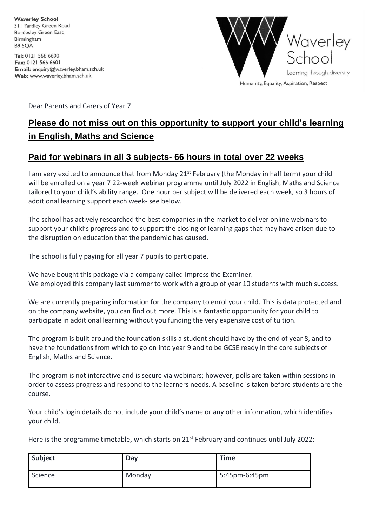**Waverley School** 311 Yardley Green Road **Bordesley Green East** Birmingham **B9 5OA** 

Tel: 0121 566 6600 Fax: 0121 566 6601 Email: enquiry@waverley.bham.sch.uk Web: www.waverley.bham.sch.uk



Dear Parents and Carers of Year 7.

# **Please do not miss out on this opportunity to support your child's learning in English, Maths and Science**

# **Paid for webinars in all 3 subjects- 66 hours in total over 22 weeks**

I am very excited to announce that from Monday  $21^{st}$  February (the Monday in half term) your child will be enrolled on a year 7 22-week webinar programme until July 2022 in English, Maths and Science tailored to your child's ability range. One hour per subject will be delivered each week, so 3 hours of additional learning support each week- see below.

The school has actively researched the best companies in the market to deliver online webinars to support your child's progress and to support the closing of learning gaps that may have arisen due to the disruption on education that the pandemic has caused.

The school is fully paying for all year 7 pupils to participate.

We have bought this package via a company called Impress the Examiner. We employed this company last summer to work with a group of year 10 students with much success.

We are currently preparing information for the company to enrol your child. This is data protected and on the company website, you can find out more. This is a fantastic opportunity for your child to participate in additional learning without you funding the very expensive cost of tuition.

The program is built around the foundation skills a student should have by the end of year 8, and to have the foundations from which to go on into year 9 and to be GCSE ready in the core subjects of English, Maths and Science.

The program is not interactive and is secure via webinars; however, polls are taken within sessions in order to assess progress and respond to the learners needs. A baseline is taken before students are the course.

Your child's login details do not include your child's name or any other information, which identifies your child.

Here is the programme timetable, which starts on  $21^{st}$  February and continues until July 2022:

| Subject | Day    | <b>Time</b>   |
|---------|--------|---------------|
| Science | Monday | 5:45pm-6:45pm |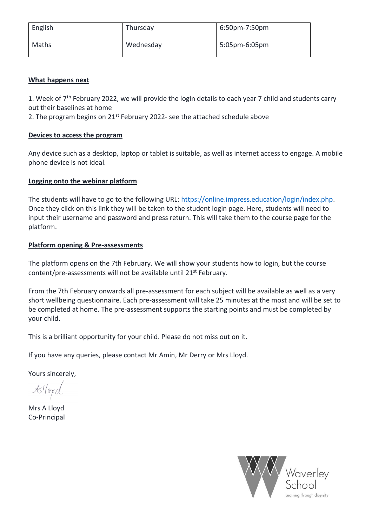| English | Thursday  | 6:50pm-7:50pm |
|---------|-----------|---------------|
| Maths   | Wednesday | 5:05pm-6:05pm |

# **What happens next**

1. Week of 7<sup>th</sup> February 2022, we will provide the login details to each year 7 child and students carry out their baselines at home

2. The program begins on  $21^{st}$  February 2022- see the attached schedule above

# **Devices to access the program**

Any device such as a desktop, laptop or tablet is suitable, as well as internet access to engage. A mobile phone device is not ideal.

# **Logging onto the webinar platform**

The students will have to go to the following URL: [https://online.impress.education/login/index.php.](https://online.impress.education/login/index.php) Once they click on this link they will be taken to the student login page. Here, students will need to input their username and password and press return. This will take them to the course page for the platform.

# **Platform opening & Pre-assessments**

The platform opens on the 7th February. We will show your students how to login, but the course content/pre-assessments will not be available until 21<sup>st</sup> February.

From the 7th February onwards all pre-assessment for each subject will be available as well as a very short wellbeing questionnaire. Each pre-assessment will take 25 minutes at the most and will be set to be completed at home. The pre-assessment supports the starting points and must be completed by your child.

This is a brilliant opportunity for your child. Please do not miss out on it.

If you have any queries, please contact Mr Amin, Mr Derry or Mrs Lloyd.

Yours sincerely,

 $k$ lloyd

Mrs A Lloyd Co-Principal

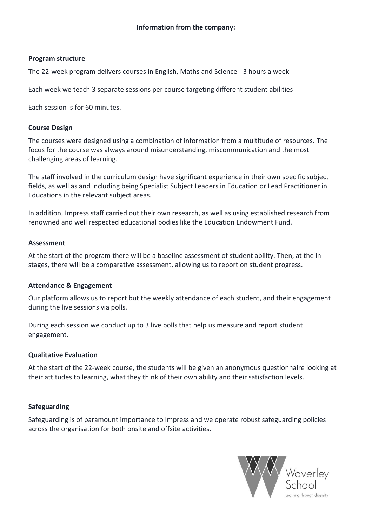#### **Program structure**

The 22-week program delivers courses in English, Maths and Science - 3 hours a week

Each week we teach 3 separate sessions per course targeting different student abilities

Each session is for 60 minutes.

#### **Course Design**

The courses were designed using a combination of information from a multitude of resources. The focus for the course was always around misunderstanding, miscommunication and the most challenging areas of learning.

The staff involved in the curriculum design have significant experience in their own specific subject fields, as well as and including being Specialist Subject Leaders in Education or Lead Practitioner in Educations in the relevant subject areas.

In addition, Impress staff carried out their own research, as well as using established research from renowned and well respected educational bodies like the Education Endowment Fund.

#### **Assessment**

At the start of the program there will be a baseline assessment of student ability. Then, at the in stages, there will be a comparative assessment, allowing us to report on student progress.

#### **Attendance & Engagement**

Our platform allows us to report but the weekly attendance of each student, and their engagement during the live sessions via polls.

During each session we conduct up to 3 live polls that help us measure and report student engagement.

# **Qualitative Evaluation**

At the start of the 22-week course, the students will be given an anonymous questionnaire looking at their attitudes to learning, what they think of their own ability and their satisfaction levels.

#### **Safeguarding**

Safeguarding is of paramount importance to Impress and we operate robust safeguarding policies across the organisation for both onsite and offsite activities.

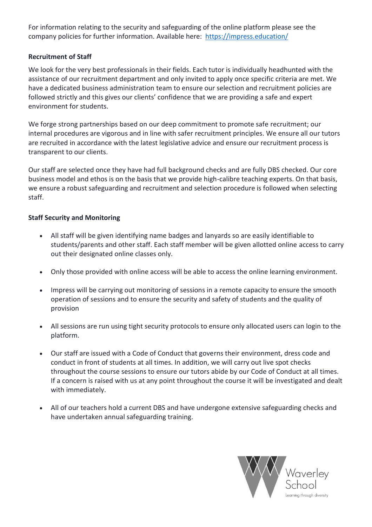For information relating to the security and safeguarding of the online platform please see the company policies for further information. Available here: <https://impress.education/>

# **Recruitment of Staff**

We look for the very best professionals in their fields. Each tutor is individually headhunted with the assistance of our recruitment department and only invited to apply once specific criteria are met. We have a dedicated business administration team to ensure our selection and recruitment policies are followed strictly and this gives our clients' confidence that we are providing a safe and expert environment for students.

We forge strong partnerships based on our deep commitment to promote safe recruitment; our internal procedures are vigorous and in line with safer recruitment principles. We ensure all our tutors are recruited in accordance with the latest legislative advice and ensure our recruitment process is transparent to our clients.

Our staff are selected once they have had full background checks and are fully DBS checked. Our core business model and ethos is on the basis that we provide high-calibre teaching experts. On that basis, we ensure a robust safeguarding and recruitment and selection procedure is followed when selecting staff.

# **Staff Security and Monitoring**

- All staff will be given identifying name badges and lanyards so are easily identifiable to students/parents and other staff. Each staff member will be given allotted online access to carry out their designated online classes only.
- Only those provided with online access will be able to access the online learning environment.
- Impress will be carrying out monitoring of sessions in a remote capacity to ensure the smooth operation of sessions and to ensure the security and safety of students and the quality of provision
- All sessions are run using tight security protocols to ensure only allocated users can login to the platform.
- Our staff are issued with a Code of Conduct that governs their environment, dress code and conduct in front of students at all times. In addition, we will carry out live spot checks throughout the course sessions to ensure our tutors abide by our Code of Conduct at all times. If a concern is raised with us at any point throughout the course it will be investigated and dealt with immediately.
- All of our teachers hold a current DBS and have undergone extensive safeguarding checks and have undertaken annual safeguarding training.